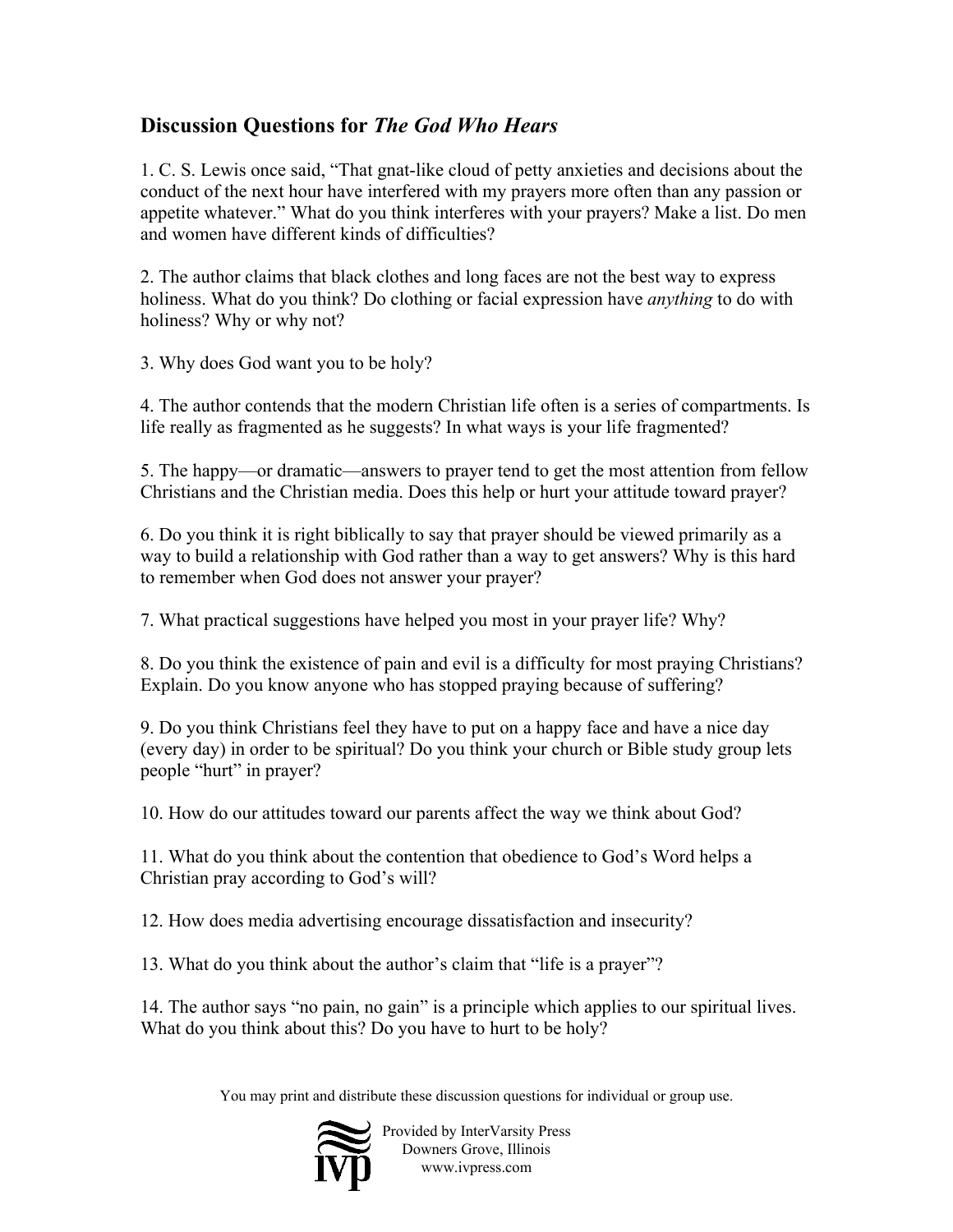## **Discussion Questions for** *The God Who Hears*

1. C. S. Lewis once said, "That gnat-like cloud of petty anxieties and decisions about the conduct of the next hour have interfered with my prayers more often than any passion or appetite whatever." What do you think interferes with your prayers? Make a list. Do men and women have different kinds of difficulties?

2. The author claims that black clothes and long faces are not the best way to express holiness. What do you think? Do clothing or facial expression have *anything* to do with holiness? Why or why not?

3. Why does God want you to be holy?

4. The author contends that the modern Christian life often is a series of compartments. Is life really as fragmented as he suggests? In what ways is your life fragmented?

5. The happy—or dramatic—answers to prayer tend to get the most attention from fellow Christians and the Christian media. Does this help or hurt your attitude toward prayer?

6. Do you think it is right biblically to say that prayer should be viewed primarily as a way to build a relationship with God rather than a way to get answers? Why is this hard to remember when God does not answer your prayer?

7. What practical suggestions have helped you most in your prayer life? Why?

8. Do you think the existence of pain and evil is a difficulty for most praying Christians? Explain. Do you know anyone who has stopped praying because of suffering?

9. Do you think Christians feel they have to put on a happy face and have a nice day (every day) in order to be spiritual? Do you think your church or Bible study group lets people "hurt" in prayer?

10. How do our attitudes toward our parents affect the way we think about God?

11. What do you think about the contention that obedience to God's Word helps a Christian pray according to God's will?

12. How does media advertising encourage dissatisfaction and insecurity?

13. What do you think about the author's claim that "life is a prayer"?

14. The author says "no pain, no gain" is a principle which applies to our spiritual lives. What do you think about this? Do you have to hurt to be holy?

You may print and distribute these discussion questions for individual or group use.